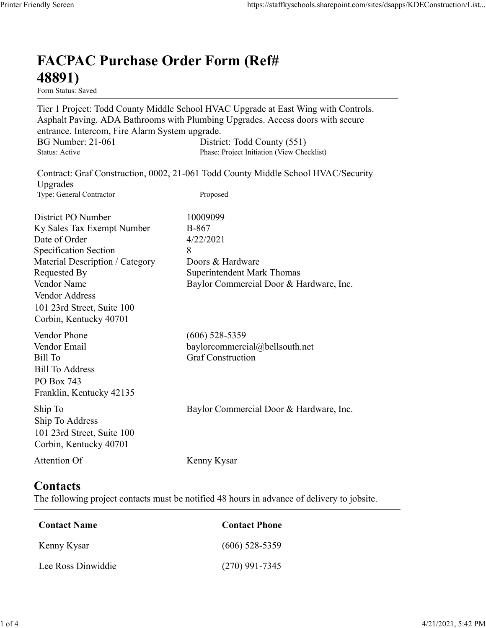## FACPAC Purchase Order Form (Ref# 48891)

Form Status: Saved

Tier 1 Project: Todd County Middle School HVAC Upgrade at East Wing with Controls. Asphalt Paving. ADA Bathrooms with Plumbing Upgrades. Access doors with secure entrance. Intercom, Fire Alarm System upgrade. https://staffkyschools.sharepoint.com/sites/dsapps/KDEConstructic<br> **FACPAC Purchase Order Form (Ref#**<br>
Form Status: Saved<br>
Tier 1 Project: Todd County Middle School HVAC Upgrade at East Wing with Controls.<br>
Asphalt Paving. https://staffkyschools.sharepoint.com/sites/dsapps/KDEConstructic<br> **FACPAC Purchase Order Form (Ref#**<br>
Form Status: Saved<br>
Tier 1 Project: Todd County Middle School HVAC Upgrade at East Wing with Controls.<br>
Asphalt Paving. Contract: Graf Construction, 0002, 21-061 Todd County Middle School HVAC/Security Upgrades May Screen<br>
Intps://staffkyschools.sharepoint.com/sites/dsarps/KDFConstructic<br>
Term Status: Saved<br>
Form Status: Saved<br>
Form Status: Saved<br>
Term Project: Todd County Middle School HVAC Upgrade at East Wing with Controls.<br>
A **FACPAC Purchase Order Form (Ref#** $\leftarrow$  **48891)**<br>
Form Status: Saved<br>
Tier 1 Project: Todd County Middle School HVAC Upgrade at East Wing with Controls.<br>
Asphalt Paving. ADA Bathrooms with Plumbing Upgrades. Access doors wi **FACPAC Purchase Order Form (Ref#**<br> **48891)**<br>
Form Stans: Saved<br>
Form Stans: Saved<br>
Teroject: Todd County Middle School HVAC Upgrade at East Wing with Controls.<br>
Asphalt Paving. ADA Bathrooms with Plumbing Upgrades.<br>
Acce FACPAC Purchase Order Form (Ref#<br>
48891)<br>
Form Status: Saved<br>
Tier 1 Project: Todd County Middle School HVAC Upgrade at East Wing with Controls.<br>
Asphalt Paving. ADA Bathrooms with Plumbing Upgrades. Access doors with secu **FACPAC Purchase Order Form (Ref#**<br> **48891)**<br>
Form Status: Saved<br>
Tier 1 Project: Todd County Middle School HVAC Upgrade at East Wing with Controls.<br>
Asphalt Paving, ADA Bathrooms with Plumbing Upgrades. Access doors with **FACPAC Purchase Order Form (Ref#**<br> **48891)**<br>
Form States Saved<br>
Form States Saved<br>
Terr I Project: Todd County Middle School HVAC Upgrade at East Wing with Controls.<br>
Asphalt Paving. ADA Bathrooms with Plumbing Upgrades. **48891)**<br>
Form Status: Saved<br>
Tier 1 Project: Todd County Middle School HVAC Upgrade at East Wing with Controls.<br>
Apphalt Paving. ADA Bathrooms with Plumbing Upgrades. Access doors with secure<br>
entrance. Intercom, Fire Ala **From States:**<br> **From States:**<br> **From States:**<br> **From States:**<br> **Commercial County Middle School HVAC Upgrade at East Wing with Controls.**<br> **Asphalt Paving.** ADA Bathrooms with Plumbing Upgrades. Access doors with secure<br> entrance. Intercom, Fire Alarm System upgrade.<br>
BG Number: 21-061 District: Todd County (551)<br>
Stans: Active Phase: Project Initiation (View Checklist)<br>
Upgrades<br>
Contract: Graf Construction, 0002, 21-061 Todd County Middl Baylor Number: 21-061<br>
Shatas: Active<br>
Shatas: Active<br>
Shatas: Active<br>
Contract: Graf Construction, 0002, 21-061 Todd County Middle School HVAC/Security<br>
Upgrades<br>
Type: General Contractor<br>
District PO Number<br>
District PO Suitas: Active<br>
Expansion: Craft Construction, 0002, 21-061 Todd County Middle School HVAC/Security<br>
Upgrades<br>
Type: General Contractor<br>
The Correct Correct Proposed<br>
District PO Number<br>
IDistrict PO Number<br>
IDistrict PO N District PO Number<br>
ID May Sales Tax Exempt Number<br>
By Sales of Order<br>
Specification Section<br>
Secretical Description / Category<br>
Material Description / Category<br>
Roches & Hardware<br>
Nondor Name<br>
Nondor Name<br>
Nondor Name<br>
Ve Material Description / Category<br>
Requested By<br>
Requested By<br>
Romercial Door & Hardware, Inc.<br>
Vendor Address<br>
Vendor Address<br>
Orbin, Kentucky 40701<br>
19.1 23rd Street, Suite 100<br>
Wendor Phone<br>
(606) 528-5359<br>
Vendor Phone<br>

Vendor Address 101 23rd Street, Suite 100 Corbin, Kentucky 40701

## **Contacts**

| COLOIII, INCHILIUMY 40701                                                                                   |                                                                                             |  |
|-------------------------------------------------------------------------------------------------------------|---------------------------------------------------------------------------------------------|--|
| Vendor Phone<br>Vendor Email<br>Bill To<br><b>Bill To Address</b><br>PO Box 743<br>Franklin, Kentucky 42135 | $(606)$ 528-5359<br>baylorcommercial@bellsouth.net<br><b>Graf Construction</b>              |  |
| Ship To<br>Ship To Address<br>101 23rd Street, Suite 100<br>Corbin, Kentucky 40701                          | Baylor Commercial Door & Hardware, Inc.                                                     |  |
| Attention Of                                                                                                | Kenny Kysar                                                                                 |  |
| Contacts                                                                                                    | The following project contacts must be notified 48 hours in advance of delivery to jobsite. |  |
| <b>Contact Name</b>                                                                                         | <b>Contact Phone</b>                                                                        |  |
| Kenny Kysar                                                                                                 | $(606)$ 528-5359                                                                            |  |
| Lee Ross Dinwiddie                                                                                          | $(270)$ 991-7345                                                                            |  |
|                                                                                                             |                                                                                             |  |
|                                                                                                             |                                                                                             |  |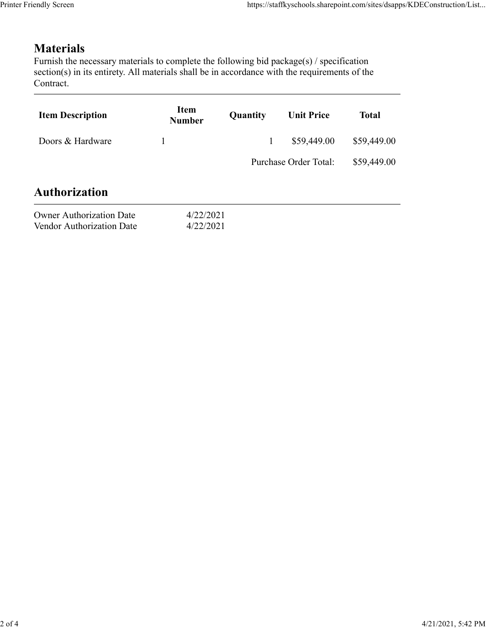## **Materials**

| endly Screen                                                                                                                                                                                                               |                              |              | https://staffkyschools.sharepoint.com/sites/dsapps/KDEConstruction/List |              |
|----------------------------------------------------------------------------------------------------------------------------------------------------------------------------------------------------------------------------|------------------------------|--------------|-------------------------------------------------------------------------|--------------|
|                                                                                                                                                                                                                            |                              |              |                                                                         |              |
| <b>Materials</b><br>Furnish the necessary materials to complete the following bid package(s) / specification<br>section(s) in its entirety. All materials shall be in accordance with the requirements of the<br>Contract. |                              |              |                                                                         |              |
| <b>Item Description</b>                                                                                                                                                                                                    | <b>Item</b><br><b>Number</b> | Quantity     | <b>Unit Price</b>                                                       | <b>Total</b> |
| Doors & Hardware                                                                                                                                                                                                           | 1                            | $\mathbf{1}$ | \$59,449.00                                                             | \$59,449.00  |
|                                                                                                                                                                                                                            |                              |              | Purchase Order Total:                                                   | \$59,449.00  |
|                                                                                                                                                                                                                            |                              |              |                                                                         |              |
| <b>Authorization</b>                                                                                                                                                                                                       |                              |              |                                                                         |              |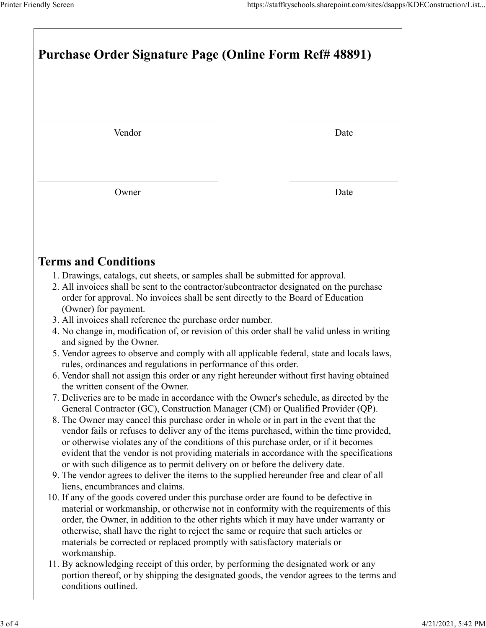| Printer Friendly Screen                                                                                                                                                                                                                                                                                                                                                                                                                                 | https://staffkyschools.sharepoint.com/sites/dsapps/KDEConstruction/List |  |  |  |  |
|---------------------------------------------------------------------------------------------------------------------------------------------------------------------------------------------------------------------------------------------------------------------------------------------------------------------------------------------------------------------------------------------------------------------------------------------------------|-------------------------------------------------------------------------|--|--|--|--|
|                                                                                                                                                                                                                                                                                                                                                                                                                                                         |                                                                         |  |  |  |  |
| Purchase Order Signature Page (Online Form Ref# 48891)                                                                                                                                                                                                                                                                                                                                                                                                  |                                                                         |  |  |  |  |
| Vendor                                                                                                                                                                                                                                                                                                                                                                                                                                                  | Date                                                                    |  |  |  |  |
| Owner                                                                                                                                                                                                                                                                                                                                                                                                                                                   | Date                                                                    |  |  |  |  |
|                                                                                                                                                                                                                                                                                                                                                                                                                                                         |                                                                         |  |  |  |  |
| <b>Terms and Conditions</b>                                                                                                                                                                                                                                                                                                                                                                                                                             |                                                                         |  |  |  |  |
| 1. Drawings, catalogs, cut sheets, or samples shall be submitted for approval.<br>2. All invoices shall be sent to the contractor/subcontractor designated on the purchase<br>order for approval. No invoices shall be sent directly to the Board of Education<br>(Owner) for payment.                                                                                                                                                                  |                                                                         |  |  |  |  |
| 3. All invoices shall reference the purchase order number.<br>4. No change in, modification of, or revision of this order shall be valid unless in writing<br>and signed by the Owner.                                                                                                                                                                                                                                                                  |                                                                         |  |  |  |  |
| 5. Vendor agrees to observe and comply with all applicable federal, state and locals laws,<br>rules, ordinances and regulations in performance of this order.<br>6. Vendor shall not assign this order or any right hereunder without first having obtained<br>the written consent of the Owner.<br>7. Deliveries are to be made in accordance with the Owner's schedule, as directed by the                                                            |                                                                         |  |  |  |  |
| General Contractor (GC), Construction Manager (CM) or Qualified Provider (QP).<br>8. The Owner may cancel this purchase order in whole or in part in the event that the<br>vendor fails or refuses to deliver any of the items purchased, within the time provided,<br>or otherwise violates any of the conditions of this purchase order, or if it becomes<br>evident that the vendor is not providing materials in accordance with the specifications |                                                                         |  |  |  |  |
| or with such diligence as to permit delivery on or before the delivery date.<br>9. The vendor agrees to deliver the items to the supplied hereunder free and clear of all<br>liens, encumbrances and claims.<br>10. If any of the goods covered under this purchase order are found to be defective in                                                                                                                                                  |                                                                         |  |  |  |  |
| material or workmanship, or otherwise not in conformity with the requirements of this<br>order, the Owner, in addition to the other rights which it may have under warranty or<br>otherwise, shall have the right to reject the same or require that such articles or<br>materials be corrected or replaced promptly with satisfactory materials or                                                                                                     |                                                                         |  |  |  |  |
| workmanship.                                                                                                                                                                                                                                                                                                                                                                                                                                            |                                                                         |  |  |  |  |